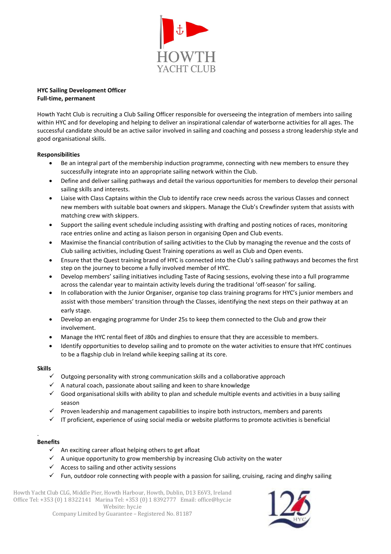

## **Full-time, permanent HYC Sailing Development Officer**

Howth Yacht Club is recruiting a Club Sailing Officer responsible for overseeing the integration of members into sailing within HYC and for developing and helping to deliver an inspirational calendar of waterborne activities for all ages. The successful candidate should be an active sailor involved in sailing and coaching and possess a strong leadership style and good organisational skills.

## **Responsibilities**

- Be an integral part of the membership induction programme, connecting with new members to ensure they successfully integrate into an appropriate sailing network within the Club.
- Define and deliver sailing pathways and detail the various opportunities for members to develop their personal sailing skills and interests.
- Liaise with Class Captains within the Club to identify race crew needs across the various Classes and connect new members with suitable boat owners and skippers. Manage the Club's Crewfinder system that assists with matching crew with skippers.
- Support the sailing event schedule including assisting with drafting and posting notices of races, monitoring race entries online and acting as liaison person in organising Open and Club events.
- Maximise the financial contribution of sailing activities to the Club by managing the revenue and the costs of Club sailing activities, including Quest Training operations as well as Club and Open events.
- Ensure that the Quest training brand of HYC is connected into the Club's sailing pathways and becomes the first step on the journey to become a fully involved member of HYC.
- Develop members' sailing initiatives including Taste of Racing sessions, evolving these into a full programme across the calendar year to maintain activity levels during the traditional 'off-season' for sailing.
- In collaboration with the Junior Organiser, organise top class training programs for HYC's junior members and assist with those members' transition through the Classes, identifying the next steps on their pathway at an early stage.
- Develop an engaging programme for Under 25s to keep them connected to the Club and grow their involvement.
- Manage the HYC rental fleet of J80s and dinghies to ensure that they are accessible to members.
- Identify opportunities to develop sailing and to promote on the water activities to ensure that HYC continues to be a flagship club in Ireland while keeping sailing at its core.

## **Skills**

- $\checkmark$  Outgoing personality with strong communication skills and a collaborative approach
- $\checkmark$  A natural coach, passionate about sailing and keen to share knowledge
- $\checkmark$  Good organisational skills with ability to plan and schedule multiple events and activities in a busy sailing season
- $\checkmark$  Proven leadership and management capabilities to inspire both instructors, members and parents
- $\checkmark$  IT proficient, experience of using social media or website platforms to promote activities is beneficial

## . **Benefits**

- $\checkmark$  An exciting career afloat helping others to get afloat
- $\checkmark$  A unique opportunity to grow membership by increasing Club activity on the water
- $\checkmark$  Access to sailing and other activity sessions
- $\checkmark$  Fun, outdoor role connecting with people with a passion for sailing, cruising, racing and dinghy sailing

Howth Yacht Club CLG, Middle Pier, Howth Harbour, Howth, Dublin, D13 E6V3, Ireland Office Tel: +353 (0) 1 8322141 Marina Tel: +353 (0) 1 8392777 Email: office@hyc.ie Website: hyc.ie